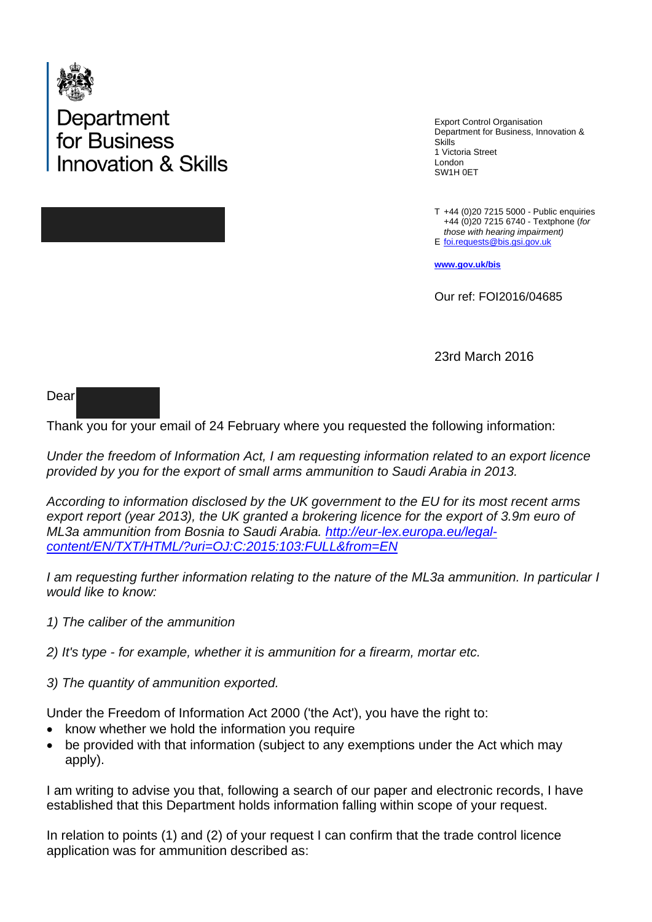

Department<br>for Business novation & Skills

Export Control Organisation Department for Business, Innovation & Skills 1 Victoria Street London SW1H 0ET

T +44 (0)20 7215 5000 - Public enquiries E [foi.requests@bis.gsi.gov.uk](mailto:foi.requests@bis.gsi.gov.uk) +44 (0)20 7215 6740 - Textphone (*for those with hearing impairment)* 

**[www.gov.uk/bis](http://www.gov.uk/bis)**

Our ref: FOI2016/04685

23rd March 2016

Dear

Thank you for your email of 24 February where you requested the following information:

*Under the freedom of Information Act, I am requesting information related to an export licence provided by you for the export of small arms ammunition to Saudi Arabia in 2013.*

*According to information disclosed by the UK government to the EU for its most recent arms export report (year 2013), the UK granted a brokering licence for the export of 3.9m euro of ML3a ammunition from Bosnia to Saudi Arabia. [http://eur-lex.europa.eu/legal](http://eur-lex.europa.eu/legal-content/EN/TXT/HTML/?uri=OJ:C:2015:103:FULL&from=EN)[content/EN/TXT/HTML/?uri=OJ:C:2015:103:FULL&from=EN](http://eur-lex.europa.eu/legal-content/EN/TXT/HTML/?uri=OJ:C:2015:103:FULL&from=EN)*

*I am requesting further information relating to the nature of the ML3a ammunition. In particular I would like to know:* 

*1) The caliber of the ammunition* 

*2) It's type - for example, whether it is ammunition for a firearm, mortar etc.*

*3) The quantity of ammunition exported.*

Under the Freedom of Information Act 2000 ('the Act'), you have the right to:

- know whether we hold the information you require
- be provided with that information (subject to any exemptions under the Act which may apply).

I am writing to advise you that, following a search of our paper and electronic records, I have established that this Department holds information falling within scope of your request.

In relation to points (1) and (2) of your request I can confirm that the trade control licence application was for ammunition described as: